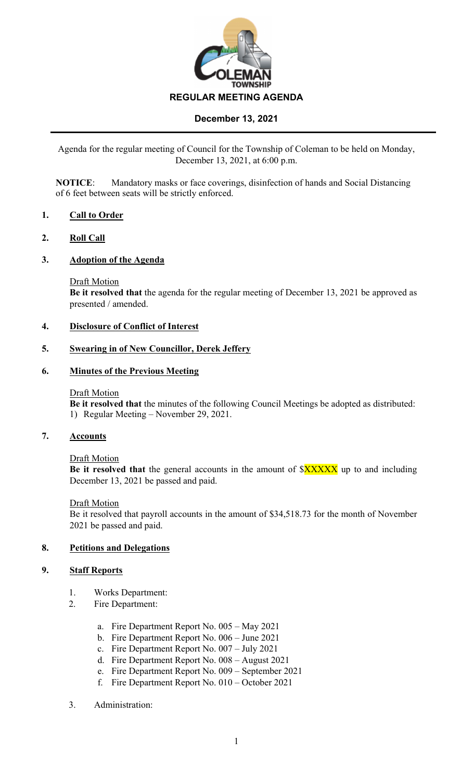

Agenda for the regular meeting of Council for the Township of Coleman to be held on Monday, December 13, 2021, at 6:00 p.m.

**NOTICE**: Mandatory masks or face coverings, disinfection of hands and Social Distancing of 6 feet between seats will be strictly enforced.

## **1. Call to Order**

### **2. Roll Call**

### **3. Adoption of the Agenda**

Draft Motion

**Be it resolved that** the agenda for the regular meeting of December 13, 2021 be approved as presented / amended.

### **4. Disclosure of Conflict of Interest**

### **5. Swearing in of New Councillor, Derek Jeffery**

### **6. Minutes of the Previous Meeting**

### Draft Motion

**Be it resolved that** the minutes of the following Council Meetings be adopted as distributed: 1) Regular Meeting – November 29, 2021.

### **7. Accounts**

### Draft Motion

Be it resolved that the general accounts in the amount of  $\frac{8XXXX}{8X}$  up to and including December 13, 2021 be passed and paid.

### Draft Motion

Be it resolved that payroll accounts in the amount of \$34,518.73 for the month of November 2021 be passed and paid.

## **8. Petitions and Delegations**

## **9. Staff Reports**

- 1. Works Department:
- 2. Fire Department:
	- a. Fire Department Report No. 005 May 2021
	- b. Fire Department Report No. 006 June 2021
	- c. Fire Department Report No. 007 July 2021
	- d. Fire Department Report No. 008 August 2021
	- e. Fire Department Report No. 009 September 2021
	- f. Fire Department Report No. 010 October 2021
- 3. Administration: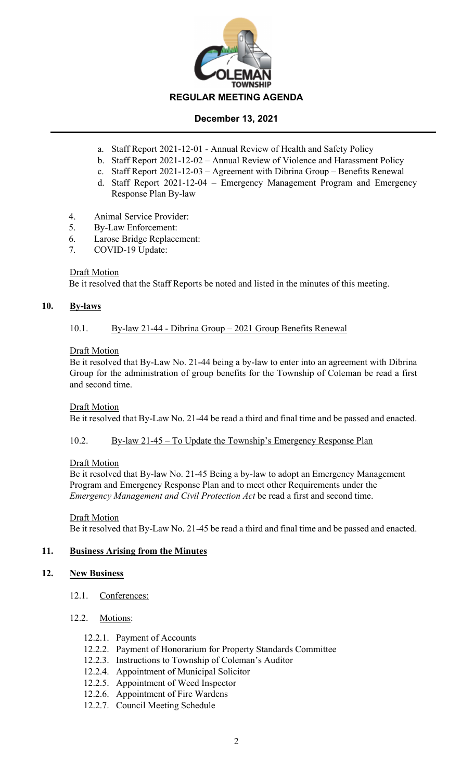

- a. Staff Report 2021-12-01 Annual Review of Health and Safety Policy
- b. Staff Report 2021-12-02 Annual Review of Violence and Harassment Policy
- c. Staff Report 2021-12-03 Agreement with Dibrina Group Benefits Renewal
- d. Staff Report 2021-12-04 Emergency Management Program and Emergency Response Plan By-law
- 4. Animal Service Provider:
- 5. By-Law Enforcement:
- 6. Larose Bridge Replacement:
- 7. COVID-19 Update:

## **Draft Motion**

Be it resolved that the Staff Reports be noted and listed in the minutes of this meeting.

## **10. By-laws**

## 10.1. By-law 21-44 - Dibrina Group – 2021 Group Benefits Renewal

## Draft Motion

Be it resolved that By-Law No. 21-44 being a by-law to enter into an agreement with Dibrina Group for the administration of group benefits for the Township of Coleman be read a first and second time.

## Draft Motion

Be it resolved that By-Law No. 21-44 be read a third and final time and be passed and enacted.

10.2. By-law 21-45 – To Update the Township's Emergency Response Plan

## Draft Motion

Be it resolved that By-law No. 21-45 Being a by-law to adopt an Emergency Management Program and Emergency Response Plan and to meet other Requirements under the *Emergency Management and Civil Protection Act* be read a first and second time.

Draft Motion Be it resolved that By-Law No. 21-45 be read a third and final time and be passed and enacted.

# **11. Business Arising from the Minutes**

## **12. New Business**

12.1. Conferences:

## 12.2. Motions:

- 12.2.1. Payment of Accounts
- 12.2.2. Payment of Honorarium for Property Standards Committee
- 12.2.3. Instructions to Township of Coleman's Auditor
- 12.2.4. Appointment of Municipal Solicitor
- 12.2.5. Appointment of Weed Inspector
- 12.2.6. Appointment of Fire Wardens
- 12.2.7. Council Meeting Schedule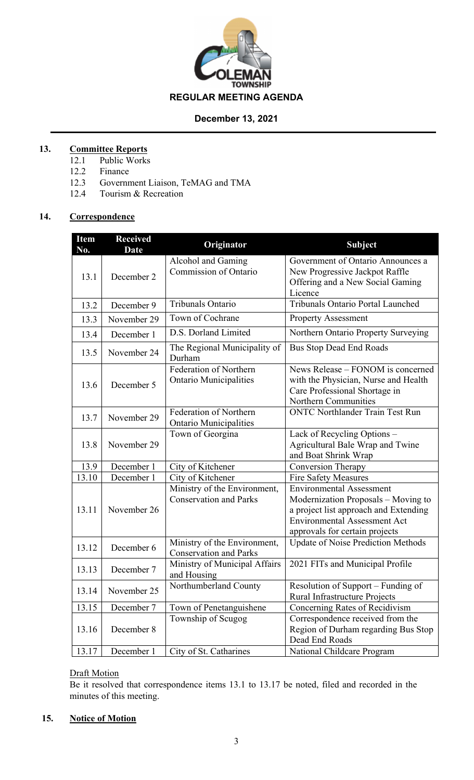

# **13. Committee Reports**

- 12.1 Public Works
- 12.2 Finance
- 12.3 Government Liaison, TeMAG and TMA
- 12.4 Tourism & Recreation

# **14. Correspondence**

| <b>Item</b><br>No. | <b>Received</b><br><b>Date</b> | <b>Originator</b>                                             | Subject                                                                                                                                                                                  |
|--------------------|--------------------------------|---------------------------------------------------------------|------------------------------------------------------------------------------------------------------------------------------------------------------------------------------------------|
| 13.1               | December 2                     | Alcohol and Gaming<br><b>Commission of Ontario</b>            | Government of Ontario Announces a<br>New Progressive Jackpot Raffle<br>Offering and a New Social Gaming<br>Licence                                                                       |
| 13.2               | December 9                     | Tribunals Ontario                                             | <b>Tribunals Ontario Portal Launched</b>                                                                                                                                                 |
| 13.3               | November 29                    | Town of Cochrane                                              | <b>Property Assessment</b>                                                                                                                                                               |
| 13.4               | December 1                     | D.S. Dorland Limited                                          | Northern Ontario Property Surveying                                                                                                                                                      |
| 13.5               | November 24                    | The Regional Municipality of<br>Durham                        | <b>Bus Stop Dead End Roads</b>                                                                                                                                                           |
| 13.6               | December 5                     | Federation of Northern<br><b>Ontario Municipalities</b>       | News Release – FONOM is concerned<br>with the Physician, Nurse and Health<br>Care Professional Shortage in<br>Northern Communities                                                       |
| 13.7               | November 29                    | Federation of Northern<br><b>Ontario Municipalities</b>       | <b>ONTC Northlander Train Test Run</b>                                                                                                                                                   |
| 13.8               | November 29                    | Town of Georgina                                              | Lack of Recycling Options -<br>Agricultural Bale Wrap and Twine<br>and Boat Shrink Wrap                                                                                                  |
| 13.9               | December 1                     | City of Kitchener                                             | <b>Conversion Therapy</b>                                                                                                                                                                |
| 13.10              | December 1                     | City of Kitchener                                             | <b>Fire Safety Measures</b>                                                                                                                                                              |
| 13.11              | November 26                    | Ministry of the Environment,<br><b>Conservation and Parks</b> | <b>Environmental Assessment</b><br>Modernization Proposals – Moving to<br>a project list approach and Extending<br><b>Environmental Assessment Act</b><br>approvals for certain projects |
| 13.12              | December 6                     | Ministry of the Environment,<br><b>Conservation and Parks</b> | <b>Update of Noise Prediction Methods</b>                                                                                                                                                |
| 13.13              | December 7                     | Ministry of Municipal Affairs<br>and Housing                  | 2021 FITs and Municipal Profile                                                                                                                                                          |
| 13.14              | November 25                    | Northumberland County                                         | Resolution of Support - Funding of<br>Rural Infrastructure Projects                                                                                                                      |
| 13.15              | December 7                     | Town of Penetanguishene                                       | Concerning Rates of Recidivism                                                                                                                                                           |
| 13.16              | December 8                     | Township of Scugog                                            | Correspondence received from the<br>Region of Durham regarding Bus Stop<br>Dead End Roads                                                                                                |
| 13.17              | December 1                     | City of St. Catharines                                        | National Childcare Program                                                                                                                                                               |

# Draft Motion

Be it resolved that correspondence items 13.1 to 13.17 be noted, filed and recorded in the minutes of this meeting.

## **15. Notice of Motion**